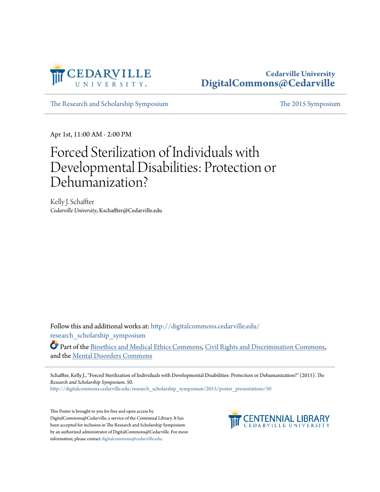

#### **Cedarville University [DigitalCommons@Cedarville](http://digitalcommons.cedarville.edu?utm_source=digitalcommons.cedarville.edu%2Fresearch_scholarship_symposium%2F2015%2Fposter_presentations%2F50&utm_medium=PDF&utm_campaign=PDFCoverPages)**

[The Research and Scholarship Symposium](http://digitalcommons.cedarville.edu/research_scholarship_symposium?utm_source=digitalcommons.cedarville.edu%2Fresearch_scholarship_symposium%2F2015%2Fposter_presentations%2F50&utm_medium=PDF&utm_campaign=PDFCoverPages) [The 2015 Symposium](http://digitalcommons.cedarville.edu/research_scholarship_symposium/2015?utm_source=digitalcommons.cedarville.edu%2Fresearch_scholarship_symposium%2F2015%2Fposter_presentations%2F50&utm_medium=PDF&utm_campaign=PDFCoverPages)

Apr 1st, 11:00 AM - 2:00 PM

#### Forced Sterilization of Individuals with Developmental Disabilities: Protection or Dehumanization?

Kelly J. Schaffter *Cedarville University*, Kschaffter@Cedarville.edu

Follow this and additional works at: [http://digitalcommons.cedarville.edu/](http://digitalcommons.cedarville.edu/research_scholarship_symposium?utm_source=digitalcommons.cedarville.edu%2Fresearch_scholarship_symposium%2F2015%2Fposter_presentations%2F50&utm_medium=PDF&utm_campaign=PDFCoverPages) [research\\_scholarship\\_symposium](http://digitalcommons.cedarville.edu/research_scholarship_symposium?utm_source=digitalcommons.cedarville.edu%2Fresearch_scholarship_symposium%2F2015%2Fposter_presentations%2F50&utm_medium=PDF&utm_campaign=PDFCoverPages)

Part of the [Bioethics and Medical Ethics Commons,](http://network.bepress.com/hgg/discipline/650?utm_source=digitalcommons.cedarville.edu%2Fresearch_scholarship_symposium%2F2015%2Fposter_presentations%2F50&utm_medium=PDF&utm_campaign=PDFCoverPages) [Civil Rights and Discrimination Commons](http://network.bepress.com/hgg/discipline/585?utm_source=digitalcommons.cedarville.edu%2Fresearch_scholarship_symposium%2F2015%2Fposter_presentations%2F50&utm_medium=PDF&utm_campaign=PDFCoverPages), and the [Mental Disorders Commons](http://network.bepress.com/hgg/discipline/968?utm_source=digitalcommons.cedarville.edu%2Fresearch_scholarship_symposium%2F2015%2Fposter_presentations%2F50&utm_medium=PDF&utm_campaign=PDFCoverPages)

Schaffter, Kelly J., "Forced Sterilization of Individuals with Developmental Disabilities: Protection or Dehumanization?" (2015). *The Research and Scholarship Symposium*. 50.

[http://digitalcommons.cedarville.edu/research\\_scholarship\\_symposium/2015/poster\\_presentations/50](http://digitalcommons.cedarville.edu/research_scholarship_symposium/2015/poster_presentations/50?utm_source=digitalcommons.cedarville.edu%2Fresearch_scholarship_symposium%2F2015%2Fposter_presentations%2F50&utm_medium=PDF&utm_campaign=PDFCoverPages)

This Poster is brought to you for free and open access by DigitalCommons@Cedarville, a service of the Centennial Library. It has been accepted for inclusion in The Research and Scholarship Symposium by an authorized administrator of DigitalCommons@Cedarville. For more information, please contact [digitalcommons@cedarville.edu.](mailto:digitalcommons@cedarville.edu)